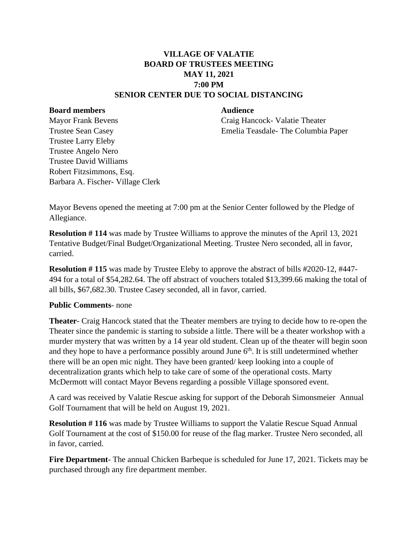## **VILLAGE OF VALATIE BOARD OF TRUSTEES MEETING MAY 11, 2021 7:00 PM SENIOR CENTER DUE TO SOCIAL DISTANCING**

## **Board members Audience**

Mayor Frank Bevens Craig Hancock- Valatie Theater Trustee Sean Casey Emelia Teasdale- The Columbia Paper

Trustee Larry Eleby Trustee Angelo Nero Trustee David Williams Robert Fitzsimmons, Esq. Barbara A. Fischer- Village Clerk

Mayor Bevens opened the meeting at 7:00 pm at the Senior Center followed by the Pledge of Allegiance.

**Resolution # 114** was made by Trustee Williams to approve the minutes of the April 13, 2021 Tentative Budget/Final Budget/Organizational Meeting. Trustee Nero seconded, all in favor, carried.

**Resolution # 115** was made by Trustee Eleby to approve the abstract of bills #2020-12, #447- 494 for a total of \$54,282.64. The off abstract of vouchers totaled \$13,399.66 making the total of all bills, \$67,682.30. Trustee Casey seconded, all in favor, carried.

## **Public Comments**- none

**Theater**- Craig Hancock stated that the Theater members are trying to decide how to re-open the Theater since the pandemic is starting to subside a little. There will be a theater workshop with a murder mystery that was written by a 14 year old student. Clean up of the theater will begin soon and they hope to have a performance possibly around June  $6<sup>th</sup>$ . It is still undetermined whether there will be an open mic night. They have been granted/ keep looking into a couple of decentralization grants which help to take care of some of the operational costs. Marty McDermott will contact Mayor Bevens regarding a possible Village sponsored event.

A card was received by Valatie Rescue asking for support of the Deborah Simonsmeier Annual Golf Tournament that will be held on August 19, 2021.

**Resolution #116** was made by Trustee Williams to support the Valatie Rescue Squad Annual Golf Tournament at the cost of \$150.00 for reuse of the flag marker. Trustee Nero seconded, all in favor, carried.

**Fire Department**- The annual Chicken Barbeque is scheduled for June 17, 2021. Tickets may be purchased through any fire department member.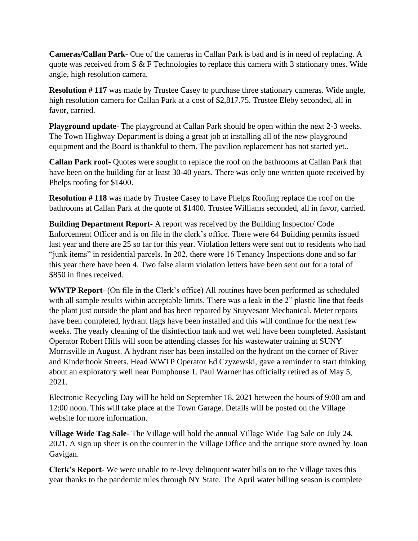**Cameras/Callan Park**- One of the cameras in Callan Park is bad and is in need of replacing. A quote was received from S & F Technologies to replace this camera with 3 stationary ones. Wide angle, high resolution camera.

**Resolution #117** was made by Trustee Casey to purchase three stationary cameras. Wide angle, high resolution camera for Callan Park at a cost of \$2,817.75. Trustee Eleby seconded, all in favor, carried.

**Playground update**- The playground at Callan Park should be open within the next 2-3 weeks. The Town Highway Department is doing a great job at installing all of the new playground equipment and the Board is thankful to them. The pavilion replacement has not started yet..

**Callan Park roof**- Quotes were sought to replace the roof on the bathrooms at Callan Park that have been on the building for at least 30-40 years. There was only one written quote received by Phelps roofing for \$1400.

**Resolution # 118** was made by Trustee Casey to have Phelps Roofing replace the roof on the bathrooms at Callan Park at the quote of \$1400. Trustee Williams seconded, all in favor, carried.

**Building Department Report**- A report was received by the Building Inspector/ Code Enforcement Officer and is on file in the clerk's office. There were 64 Building permits issued last year and there are 25 so far for this year. Violation letters were sent out to residents who had "junk items" in residential parcels. In 202, there were 16 Tenancy Inspections done and so far this year there have been 4. Two false alarm violation letters have been sent out for a total of \$850 in fines received.

**WWTP Report**- (On file in the Clerk's office) All routines have been performed as scheduled with all sample results within acceptable limits. There was a leak in the 2" plastic line that feeds the plant just outside the plant and has been repaired by Stuyvesant Mechanical. Meter repairs have been completed, hydrant flags have been installed and this will continue for the next few weeks. The yearly cleaning of the disinfection tank and wet well have been completed. Assistant Operator Robert Hills will soon be attending classes for his wastewater training at SUNY Morrisville in August. A hydrant riser has been installed on the hydrant on the corner of River and Kinderhook Streets. Head WWTP Operator Ed Czyzewski, gave a reminder to start thinking about an exploratory well near Pumphouse 1. Paul Warner has officially retired as of May 5, 2021.

Electronic Recycling Day will be held on September 18, 2021 between the hours of 9:00 am and 12:00 noon. This will take place at the Town Garage. Details will be posted on the Village website for more information.

**Village Wide Tag Sale**- The Village will hold the annual Village Wide Tag Sale on July 24, 2021. A sign up sheet is on the counter in the Village Office and the antique store owned by Joan Gavigan.

**Clerk's Report**- We were unable to re-levy delinquent water bills on to the Village taxes this year thanks to the pandemic rules through NY State. The April water billing season is complete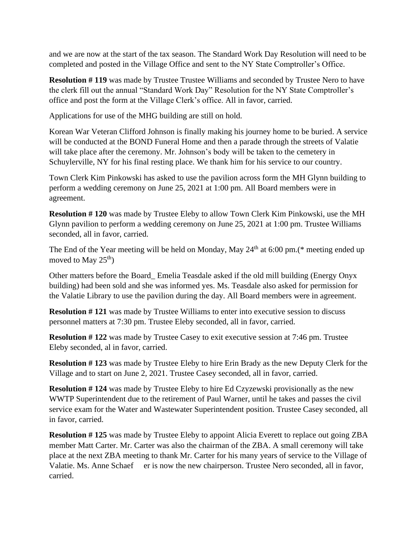and we are now at the start of the tax season. The Standard Work Day Resolution will need to be completed and posted in the Village Office and sent to the NY State Comptroller's Office.

**Resolution #119** was made by Trustee Trustee Williams and seconded by Trustee Nero to have the clerk fill out the annual "Standard Work Day" Resolution for the NY State Comptroller's office and post the form at the Village Clerk's office. All in favor, carried.

Applications for use of the MHG building are still on hold.

Korean War Veteran Clifford Johnson is finally making his journey home to be buried. A service will be conducted at the BOND Funeral Home and then a parade through the streets of Valatie will take place after the ceremony. Mr. Johnson's body will be taken to the cemetery in Schuylerville, NY for his final resting place. We thank him for his service to our country.

Town Clerk Kim Pinkowski has asked to use the pavilion across form the MH Glynn building to perform a wedding ceremony on June 25, 2021 at 1:00 pm. All Board members were in agreement.

**Resolution # 120** was made by Trustee Eleby to allow Town Clerk Kim Pinkowski, use the MH Glynn pavilion to perform a wedding ceremony on June 25, 2021 at 1:00 pm. Trustee Williams seconded, all in favor, carried.

The End of the Year meeting will be held on Monday, May  $24<sup>th</sup>$  at 6:00 pm.(\* meeting ended up moved to May  $25<sup>th</sup>$ )

Other matters before the Board\_ Emelia Teasdale asked if the old mill building (Energy Onyx building) had been sold and she was informed yes. Ms. Teasdale also asked for permission for the Valatie Library to use the pavilion during the day. All Board members were in agreement.

**Resolution # 121** was made by Trustee Williams to enter into executive session to discuss personnel matters at 7:30 pm. Trustee Eleby seconded, all in favor, carried.

**Resolution # 122** was made by Trustee Casey to exit executive session at 7:46 pm. Trustee Eleby seconded, al in favor, carried.

**Resolution # 123** was made by Trustee Eleby to hire Erin Brady as the new Deputy Clerk for the Village and to start on June 2, 2021. Trustee Casey seconded, all in favor, carried.

**Resolution #124** was made by Trustee Eleby to hire Ed Czyzewski provisionally as the new WWTP Superintendent due to the retirement of Paul Warner, until he takes and passes the civil service exam for the Water and Wastewater Superintendent position. Trustee Casey seconded, all in favor, carried.

**Resolution #125** was made by Trustee Eleby to appoint Alicia Everett to replace out going ZBA member Matt Carter. Mr. Carter was also the chairman of the ZBA. A small ceremony will take place at the next ZBA meeting to thank Mr. Carter for his many years of service to the Village of Valatie. Ms. Anne Schaef er is now the new chairperson. Trustee Nero seconded, all in favor, carried.